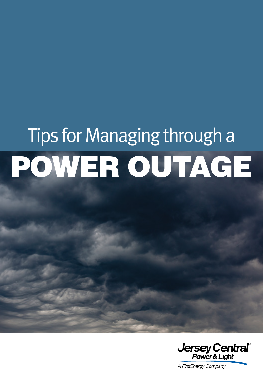# Tips for Managing through a POWER OUTAGE

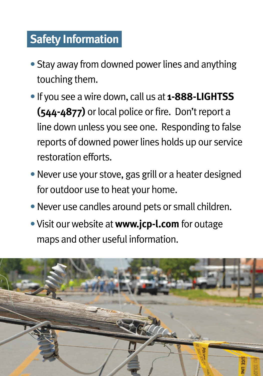## **Safety Information**

- Stay away from downed power lines and anything touching them.
- If you see a wire down, call us at **1-888-LIGHTSS (544-4877)** or local police or fire. Don't report a line down unless you see one. Responding to false reports of downed power lines holds up our service restoration efforts.
- Never use your stove, gas grill or a heater designed for outdoor use to heat your home.
- Never use candles around pets or small children.
- •Visit our website at **www.jcp-l.com** for outage maps and other useful information.

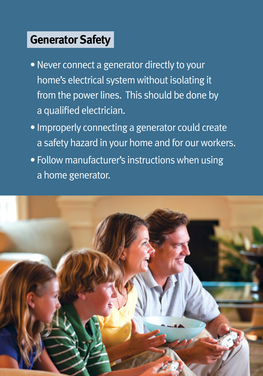## **Generator Safety**

- Never connect a generator directly to your home's electrical system without isolating it from the power lines. This should be done by a qualified electrician.
- Improperly connecting a generator could create a safety hazard in your home and for our workers.
- Follow manufacturer's instructions when using a home generator.

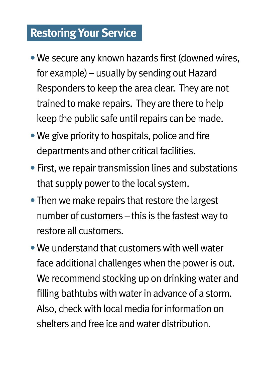### **Restoring Your Service**

- •We secure any known hazards first (downed wires, for example) – usually by sending out Hazard Responders to keep the area clear. They are not trained to make repairs. They are there to help keep the public safe until repairs can be made.
- We give priority to hospitals, police and fire departments and other critical facilities.
- First, we repair transmission lines and substations that supply power to the local system.
- Then we make repairs that restore the largest number of customers – this is the fastest way to restore all customers.
- We understand that customers with well water face additional challenges when the power is out. We recommend stocking up on drinking water and filling bathtubs with water in advance of a storm. Also, check with local media for information on shelters and free ice and water distribution.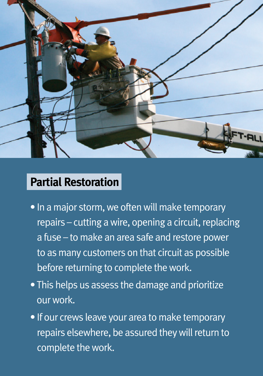

### **Partial Restoration**

- In a major storm, we often will make temporary repairs – cutting a wire, opening a circuit, replacing a fuse – to make an area safe and restore power to as many customers on that circuit as possible before returning to complete the work.
- This helps us assess the damage and prioritize our work.
- If our crews leave your area to make temporary repairs elsewhere, be assured they will return to complete the work.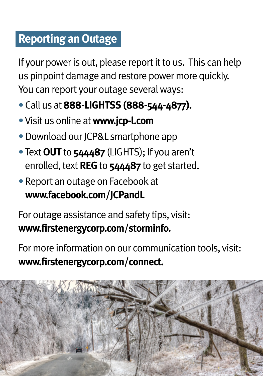## **Reporting an Outage**

If your power is out, please report it to us. This can help us pinpoint damage and restore power more quickly. You can report your outage several ways:

- Call us at **888-LIGHTSS (888-544-4877).**
- •Visit us online at **www.jcp-l.com**
- •Download our JCP&L smartphone app
- Text **OUT** to **544487** (LIGHTS); If you aren't enrolled, text **REG** to **544487** to get started.
- Report an outage on Facebook at **www.facebook.com/JCPandL**

For outage assistance and safety tips, visit: **www.firstenergycorp.com/storminfo.**

For more information on our communication tools, visit: **www.firstenergycorp.com/connect.**

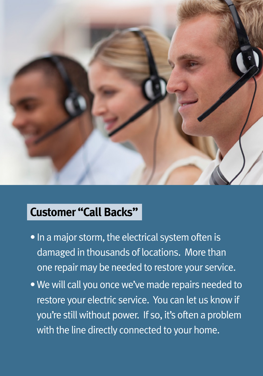

## **Customer "Call Backs"**

- In a major storm, the electrical system often is damaged in thousands of locations. More than one repair may be needed to restore your service.
- We will call you once we've made repairs needed to restore your electric service. You can let us know if you're still without power. If so, it's often a problem with the line directly connected to your home.